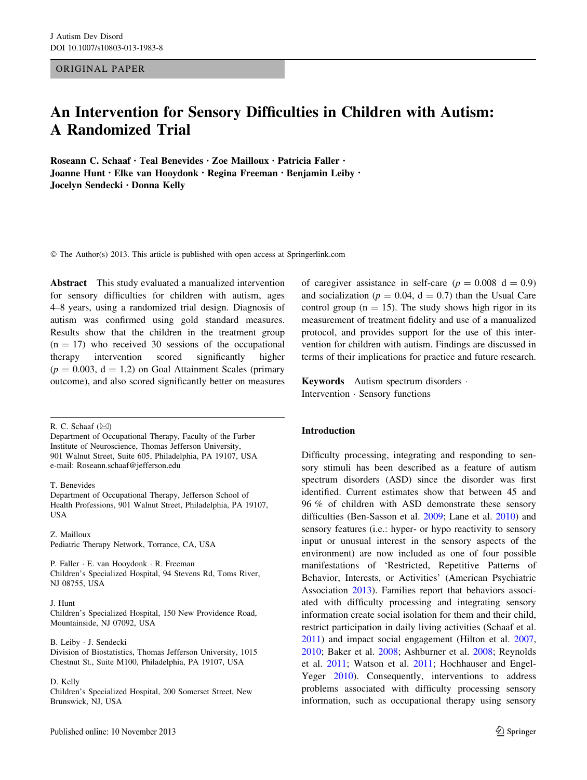ORIGINAL PAPER

# An Intervention for Sensory Difficulties in Children with Autism: A Randomized Trial

Roseann C. Schaaf • Teal Benevides • Zoe Mailloux • Patricia Faller • Joanne Hunt • Elke van Hooydonk • Regina Freeman • Benjamin Leiby • Jocelyn Sendecki • Donna Kelly

© The Author(s) 2013. This article is published with open access at Springerlink.com

Abstract This study evaluated a manualized intervention for sensory difficulties for children with autism, ages 4–8 years, using a randomized trial design. Diagnosis of autism was confirmed using gold standard measures. Results show that the children in the treatment group  $(n = 17)$  who received 30 sessions of the occupational therapy intervention scored significantly higher  $(p = 0.003, d = 1.2)$  on Goal Attainment Scales (primary outcome), and also scored significantly better on measures

R. C. Schaaf  $(\boxtimes)$ 

T. Benevides

Department of Occupational Therapy, Jefferson School of Health Professions, 901 Walnut Street, Philadelphia, PA 19107, **USA** 

Z. Mailloux Pediatric Therapy Network, Torrance, CA, USA

P. Faller · E. van Hooydonk · R. Freeman Children's Specialized Hospital, 94 Stevens Rd, Toms River, NJ 08755, USA

J. Hunt

Children's Specialized Hospital, 150 New Providence Road, Mountainside, NJ 07092, USA

B. Leiby - J. Sendecki Division of Biostatistics, Thomas Jefferson University, 1015 Chestnut St., Suite M100, Philadelphia, PA 19107, USA

D. Kelly

Children's Specialized Hospital, 200 Somerset Street, New Brunswick, NJ, USA

of caregiver assistance in self-care ( $p = 0.008$  d = 0.9) and socialization ( $p = 0.04$ ,  $d = 0.7$ ) than the Usual Care control group ( $n = 15$ ). The study shows high rigor in its measurement of treatment fidelity and use of a manualized protocol, and provides support for the use of this intervention for children with autism. Findings are discussed in terms of their implications for practice and future research.

Keywords Autism spectrum disorders -Intervention - Sensory functions

#### Introduction

Difficulty processing, integrating and responding to sensory stimuli has been described as a feature of autism spectrum disorders (ASD) since the disorder was first identified. Current estimates show that between 45 and 96 % of children with ASD demonstrate these sensory difficulties (Ben-Sasson et al. [2009;](#page-11-0) Lane et al. [2010](#page-12-0)) and sensory features (i.e.: hyper- or hypo reactivity to sensory input or unusual interest in the sensory aspects of the environment) are now included as one of four possible manifestations of 'Restricted, Repetitive Patterns of Behavior, Interests, or Activities' (American Psychiatric Association [2013](#page-11-0)). Families report that behaviors associated with difficulty processing and integrating sensory information create social isolation for them and their child, restrict participation in daily living activities (Schaaf et al. [2011](#page-13-0)) and impact social engagement (Hilton et al. [2007,](#page-12-0) [2010](#page-12-0); Baker et al. [2008](#page-11-0); Ashburner et al. [2008](#page-11-0); Reynolds et al. [2011;](#page-12-0) Watson et al. [2011;](#page-13-0) Hochhauser and Engel-Yeger [2010\)](#page-12-0). Consequently, interventions to address problems associated with difficulty processing sensory information, such as occupational therapy using sensory

Department of Occupational Therapy, Faculty of the Farber Institute of Neuroscience, Thomas Jefferson University, 901 Walnut Street, Suite 605, Philadelphia, PA 19107, USA e-mail: Roseann.schaaf@jefferson.edu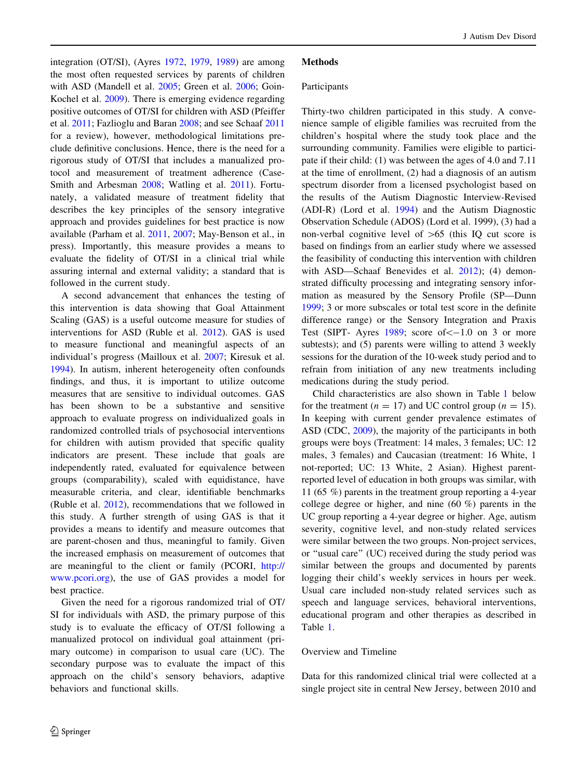integration (OT/SI), (Ayres [1972,](#page-11-0) [1979,](#page-11-0) [1989\)](#page-11-0) are among the most often requested services by parents of children with ASD (Mandell et al. [2005;](#page-12-0) Green et al. [2006](#page-11-0); Goin-Kochel et al. [2009](#page-11-0)). There is emerging evidence regarding positive outcomes of OT/SI for children with ASD (Pfeiffer et al. [2011](#page-12-0); Fazlioglu and Baran [2008;](#page-11-0) and see Schaaf [2011](#page-12-0) for a review), however, methodological limitations preclude definitive conclusions. Hence, there is the need for a rigorous study of OT/SI that includes a manualized protocol and measurement of treatment adherence (Case-Smith and Arbesman [2008;](#page-11-0) Watling et al. [2011\)](#page-13-0). Fortunately, a validated measure of treatment fidelity that describes the key principles of the sensory integrative approach and provides guidelines for best practice is now available (Parham et al. [2011](#page-12-0), [2007;](#page-12-0) May-Benson et al., in press). Importantly, this measure provides a means to evaluate the fidelity of OT/SI in a clinical trial while assuring internal and external validity; a standard that is followed in the current study.

A second advancement that enhances the testing of this intervention is data showing that Goal Attainment Scaling (GAS) is a useful outcome measure for studies of interventions for ASD (Ruble et al. [2012](#page-12-0)). GAS is used to measure functional and meaningful aspects of an individual's progress (Mailloux et al. [2007](#page-12-0); Kiresuk et al. [1994\)](#page-12-0). In autism, inherent heterogeneity often confounds findings, and thus, it is important to utilize outcome measures that are sensitive to individual outcomes. GAS has been shown to be a substantive and sensitive approach to evaluate progress on individualized goals in randomized controlled trials of psychosocial interventions for children with autism provided that specific quality indicators are present. These include that goals are independently rated, evaluated for equivalence between groups (comparability), scaled with equidistance, have measurable criteria, and clear, identifiable benchmarks (Ruble et al. [2012](#page-12-0)), recommendations that we followed in this study. A further strength of using GAS is that it provides a means to identify and measure outcomes that are parent-chosen and thus, meaningful to family. Given the increased emphasis on measurement of outcomes that are meaningful to the client or family (PCORI, [http://](http://www.pcori.org) [www.pcori.org](http://www.pcori.org)), the use of GAS provides a model for best practice.

Given the need for a rigorous randomized trial of OT/ SI for individuals with ASD, the primary purpose of this study is to evaluate the efficacy of OT/SI following a manualized protocol on individual goal attainment (primary outcome) in comparison to usual care (UC). The secondary purpose was to evaluate the impact of this approach on the child's sensory behaviors, adaptive behaviors and functional skills.

## **Methods**

## Participants

Thirty-two children participated in this study. A convenience sample of eligible families was recruited from the children's hospital where the study took place and the surrounding community. Families were eligible to participate if their child: (1) was between the ages of 4.0 and 7.11 at the time of enrollment, (2) had a diagnosis of an autism spectrum disorder from a licensed psychologist based on the results of the Autism Diagnostic Interview-Revised (ADI-R) (Lord et al. [1994\)](#page-12-0) and the Autism Diagnostic Observation Schedule (ADOS) (Lord et al. 1999), (3) had a non-verbal cognitive level of  $>65$  (this IQ cut score is based on findings from an earlier study where we assessed the feasibility of conducting this intervention with children with ASD—Schaaf Benevides et al. [2012\)](#page-12-0); (4) demonstrated difficulty processing and integrating sensory information as measured by the Sensory Profile (SP—Dunn [1999](#page-11-0); 3 or more subscales or total test score in the definite difference range) or the Sensory Integration and Praxis Test (SIPT- Ayres  $1989$ ; score of  $<-1.0$  on 3 or more subtests); and (5) parents were willing to attend 3 weekly sessions for the duration of the 10-week study period and to refrain from initiation of any new treatments including medications during the study period.

Child characteristics are also shown in Table [1](#page-2-0) below for the treatment ( $n = 17$ ) and UC control group ( $n = 15$ ). In keeping with current gender prevalence estimates of ASD (CDC, [2009](#page-11-0)), the majority of the participants in both groups were boys (Treatment: 14 males, 3 females; UC: 12 males, 3 females) and Caucasian (treatment: 16 White, 1 not-reported; UC: 13 White, 2 Asian). Highest parentreported level of education in both groups was similar, with 11 (65 %) parents in the treatment group reporting a 4-year college degree or higher, and nine (60 %) parents in the UC group reporting a 4-year degree or higher. Age, autism severity, cognitive level, and non-study related services were similar between the two groups. Non-project services, or ''usual care'' (UC) received during the study period was similar between the groups and documented by parents logging their child's weekly services in hours per week. Usual care included non-study related services such as speech and language services, behavioral interventions, educational program and other therapies as described in Table [1](#page-2-0).

#### Overview and Timeline

Data for this randomized clinical trial were collected at a single project site in central New Jersey, between 2010 and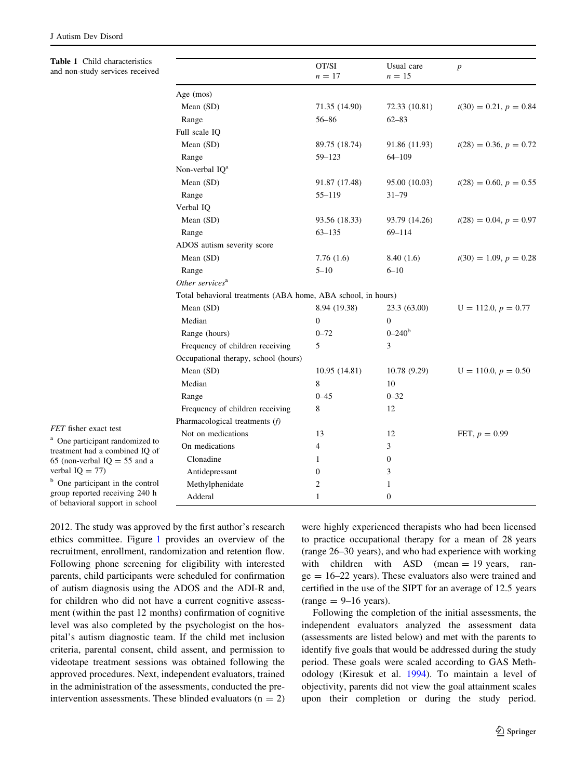Table 1 Child characteristics and non-study services received

<span id="page-2-0"></span>

| Table 1 Child characteristics<br>and non-study services received                                                                     |                                                              | OT/SI<br>$n=17$  | Usual care<br>$n = 15$ | $\boldsymbol{p}$         |  |  |  |  |  |
|--------------------------------------------------------------------------------------------------------------------------------------|--------------------------------------------------------------|------------------|------------------------|--------------------------|--|--|--|--|--|
|                                                                                                                                      | Age (mos)                                                    |                  |                        |                          |  |  |  |  |  |
|                                                                                                                                      | Mean (SD)                                                    | 71.35 (14.90)    | 72.33 (10.81)          | $t(30) = 0.21, p = 0.84$ |  |  |  |  |  |
|                                                                                                                                      | Range                                                        | 56–86            | $62 - 83$              |                          |  |  |  |  |  |
|                                                                                                                                      | Full scale IQ                                                |                  |                        |                          |  |  |  |  |  |
|                                                                                                                                      | Mean (SD)                                                    | 89.75 (18.74)    | 91.86 (11.93)          | $t(28) = 0.36, p = 0.72$ |  |  |  |  |  |
|                                                                                                                                      | Range                                                        | 59-123           | $64 - 109$             |                          |  |  |  |  |  |
|                                                                                                                                      | Non-verbal IQ <sup>a</sup>                                   |                  |                        |                          |  |  |  |  |  |
|                                                                                                                                      | Mean (SD)                                                    | 91.87 (17.48)    | 95.00 (10.03)          | $t(28) = 0.60, p = 0.55$ |  |  |  |  |  |
|                                                                                                                                      | Range                                                        | 55-119           | $31 - 79$              |                          |  |  |  |  |  |
|                                                                                                                                      | Verbal IQ                                                    |                  |                        |                          |  |  |  |  |  |
|                                                                                                                                      | Mean (SD)                                                    | 93.56 (18.33)    | 93.79 (14.26)          | $t(28) = 0.04, p = 0.97$ |  |  |  |  |  |
|                                                                                                                                      | Range                                                        | 63-135           | $69 - 114$             |                          |  |  |  |  |  |
|                                                                                                                                      | ADOS autism severity score                                   |                  |                        |                          |  |  |  |  |  |
|                                                                                                                                      | Mean (SD)                                                    | 7.76(1.6)        | 8.40(1.6)              | $t(30) = 1.09, p = 0.28$ |  |  |  |  |  |
|                                                                                                                                      | Range                                                        | $5 - 10$         | $6 - 10$               |                          |  |  |  |  |  |
|                                                                                                                                      | Other services <sup>a</sup>                                  |                  |                        |                          |  |  |  |  |  |
|                                                                                                                                      | Total behavioral treatments (ABA home, ABA school, in hours) |                  |                        |                          |  |  |  |  |  |
|                                                                                                                                      | Mean (SD)                                                    | 8.94 (19.38)     | 23.3 (63.00)           | $U = 112.0, p = 0.77$    |  |  |  |  |  |
|                                                                                                                                      | Median                                                       | $\boldsymbol{0}$ | $\overline{0}$         |                          |  |  |  |  |  |
|                                                                                                                                      | Range (hours)                                                | $0 - 72$         | $0 - 240^b$            |                          |  |  |  |  |  |
|                                                                                                                                      | Frequency of children receiving                              | 5                | 3                      |                          |  |  |  |  |  |
|                                                                                                                                      | Occupational therapy, school (hours)                         |                  |                        |                          |  |  |  |  |  |
|                                                                                                                                      | Mean (SD)                                                    | 10.95 (14.81)    | 10.78 (9.29)           | $U = 110.0, p = 0.50$    |  |  |  |  |  |
|                                                                                                                                      | Median                                                       | 8                | 10                     |                          |  |  |  |  |  |
|                                                                                                                                      | Range                                                        | $0 - 45$         | $0 - 32$               |                          |  |  |  |  |  |
|                                                                                                                                      | Frequency of children receiving                              | 8                | 12                     |                          |  |  |  |  |  |
|                                                                                                                                      | Pharmacological treatments (f)                               |                  |                        |                          |  |  |  |  |  |
| FET fisher exact test                                                                                                                | Not on medications                                           | 13               | 12                     | FET, $p = 0.99$          |  |  |  |  |  |
| <sup>a</sup> One participant randomized to<br>treatment had a combined IQ of<br>65 (non-verbal $IQ = 55$ and a<br>verbal $IQ = 77$ ) | On medications                                               | 4                | 3                      |                          |  |  |  |  |  |
|                                                                                                                                      | Clonadine                                                    | $\mathbf{1}$     | $\boldsymbol{0}$       |                          |  |  |  |  |  |
|                                                                                                                                      | Antidepressant                                               | $\boldsymbol{0}$ | 3                      |                          |  |  |  |  |  |
| <sup>b</sup> One participant in the control                                                                                          | Methylphenidate                                              | 2                | $\mathbf{1}$           |                          |  |  |  |  |  |
| group reported receiving 240 h<br>of behavioral support in school                                                                    | Adderal                                                      | $\mathbf{1}$     | $\boldsymbol{0}$       |                          |  |  |  |  |  |

2012. The study was approved by the first author's research ethics committee. Figure [1](#page-3-0) provides an overview of the recruitment, enrollment, randomization and retention flow. Following phone screening for eligibility with interested parents, child participants were scheduled for confirmation of autism diagnosis using the ADOS and the ADI-R and, for children who did not have a current cognitive assessment (within the past 12 months) confirmation of cognitive level was also completed by the psychologist on the hospital's autism diagnostic team. If the child met inclusion criteria, parental consent, child assent, and permission to videotape treatment sessions was obtained following the approved procedures. Next, independent evaluators, trained in the administration of the assessments, conducted the preintervention assessments. These blinded evaluators  $(n = 2)$  were highly experienced therapists who had been licensed to practice occupational therapy for a mean of 28 years (range 26–30 years), and who had experience with working with children with  $ASD$  (mean = 19 years, ran $ge = 16-22$  years). These evaluators also were trained and certified in the use of the SIPT for an average of 12.5 years  $(range = 9-16 years).$ 

Following the completion of the initial assessments, the independent evaluators analyzed the assessment data (assessments are listed below) and met with the parents to identify five goals that would be addressed during the study period. These goals were scaled according to GAS Methodology (Kiresuk et al. [1994\)](#page-12-0). To maintain a level of objectivity, parents did not view the goal attainment scales upon their completion or during the study period.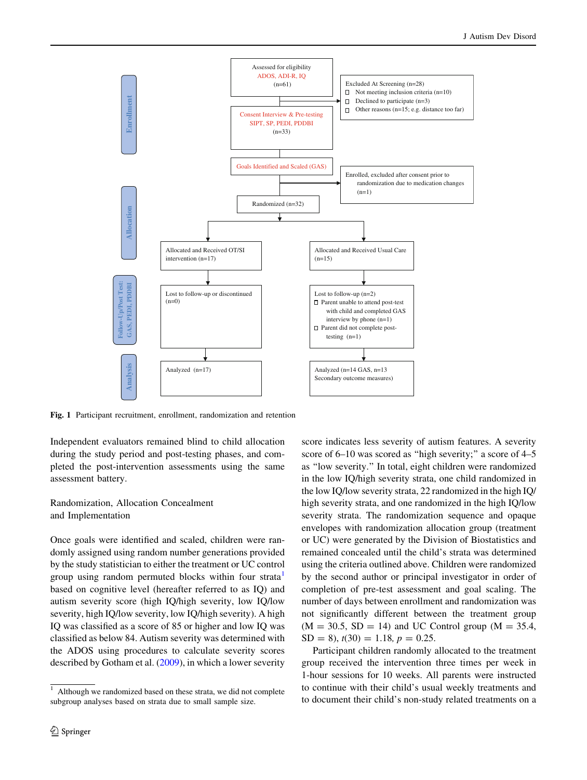<span id="page-3-0"></span>

Fig. 1 Participant recruitment, enrollment, randomization and retention

Independent evaluators remained blind to child allocation during the study period and post-testing phases, and completed the post-intervention assessments using the same assessment battery.

# Randomization, Allocation Concealment and Implementation

Once goals were identified and scaled, children were randomly assigned using random number generations provided by the study statistician to either the treatment or UC control group using random permuted blocks within four strata based on cognitive level (hereafter referred to as IQ) and autism severity score (high IQ/high severity, low IQ/low severity, high IQ/low severity, low IQ/high severity). A high IQ was classified as a score of 85 or higher and low IQ was classified as below 84. Autism severity was determined with the ADOS using procedures to calculate severity scores described by Gotham et al. [\(2009](#page-11-0)), in which a lower severity

score indicates less severity of autism features. A severity score of 6–10 was scored as "high severity;" a score of 4–5 as ''low severity.'' In total, eight children were randomized in the low IQ/high severity strata, one child randomized in the low IQ/low severity strata, 22 randomized in the high IQ/ high severity strata, and one randomized in the high IQ/low severity strata. The randomization sequence and opaque envelopes with randomization allocation group (treatment or UC) were generated by the Division of Biostatistics and remained concealed until the child's strata was determined using the criteria outlined above. Children were randomized by the second author or principal investigator in order of completion of pre-test assessment and goal scaling. The number of days between enrollment and randomization was not significantly different between the treatment group  $(M = 30.5, SD = 14)$  and UC Control group  $(M = 35.4,$  $SD = 8$ ,  $t(30) = 1.18$ ,  $p = 0.25$ .

Participant children randomly allocated to the treatment group received the intervention three times per week in 1-hour sessions for 10 weeks. All parents were instructed to continue with their child's usual weekly treatments and to document their child's non-study related treatments on a

<sup>&</sup>lt;sup>1</sup> Although we randomized based on these strata, we did not complete subgroup analyses based on strata due to small sample size.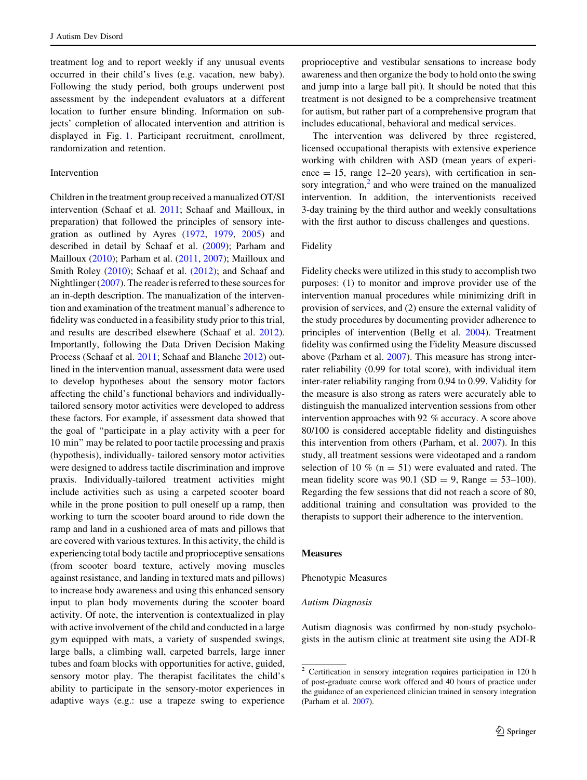treatment log and to report weekly if any unusual events occurred in their child's lives (e.g. vacation, new baby). Following the study period, both groups underwent post assessment by the independent evaluators at a different location to further ensure blinding. Information on subjects' completion of allocated intervention and attrition is displayed in Fig. [1](#page-3-0). Participant recruitment, enrollment, randomization and retention.

## Intervention

Children in the treatment group received a manualized OT/SI intervention (Schaaf et al. [2011](#page-13-0); Schaaf and Mailloux, in preparation) that followed the principles of sensory integration as outlined by Ayres [\(1972](#page-11-0), [1979,](#page-11-0) [2005](#page-11-0)) and described in detail by Schaaf et al. ([2009\)](#page-13-0); Parham and Mailloux ([2010\)](#page-12-0); Parham et al. [\(2011](#page-12-0), [2007](#page-12-0)); Mailloux and Smith Roley [\(2010](#page-12-0)); Schaaf et al. [\(2012\);](#page-13-0) and Schaaf and Nightlinger [\(2007](#page-13-0)). The reader is referred to these sources for an in-depth description. The manualization of the intervention and examination of the treatment manual's adherence to fidelity was conducted in a feasibility study prior to this trial, and results are described elsewhere (Schaaf et al. [2012](#page-12-0)). Importantly, following the Data Driven Decision Making Process (Schaaf et al. [2011](#page-13-0); Schaaf and Blanche [2012](#page-13-0)) outlined in the intervention manual, assessment data were used to develop hypotheses about the sensory motor factors affecting the child's functional behaviors and individuallytailored sensory motor activities were developed to address these factors. For example, if assessment data showed that the goal of ''participate in a play activity with a peer for 10 min'' may be related to poor tactile processing and praxis (hypothesis), individually- tailored sensory motor activities were designed to address tactile discrimination and improve praxis. Individually-tailored treatment activities might include activities such as using a carpeted scooter board while in the prone position to pull oneself up a ramp, then working to turn the scooter board around to ride down the ramp and land in a cushioned area of mats and pillows that are covered with various textures. In this activity, the child is experiencing total body tactile and proprioceptive sensations (from scooter board texture, actively moving muscles against resistance, and landing in textured mats and pillows) to increase body awareness and using this enhanced sensory input to plan body movements during the scooter board activity. Of note, the intervention is contextualized in play with active involvement of the child and conducted in a large gym equipped with mats, a variety of suspended swings, large balls, a climbing wall, carpeted barrels, large inner tubes and foam blocks with opportunities for active, guided, sensory motor play. The therapist facilitates the child's ability to participate in the sensory-motor experiences in adaptive ways (e.g.: use a trapeze swing to experience

proprioceptive and vestibular sensations to increase body awareness and then organize the body to hold onto the swing and jump into a large ball pit). It should be noted that this treatment is not designed to be a comprehensive treatment for autism, but rather part of a comprehensive program that includes educational, behavioral and medical services.

The intervention was delivered by three registered, licensed occupational therapists with extensive experience working with children with ASD (mean years of experience  $= 15$ , range 12–20 years), with certification in sensory integration, $<sup>2</sup>$  and who were trained on the manualized</sup> intervention. In addition, the interventionists received 3-day training by the third author and weekly consultations with the first author to discuss challenges and questions.

## Fidelity

Fidelity checks were utilized in this study to accomplish two purposes: (1) to monitor and improve provider use of the intervention manual procedures while minimizing drift in provision of services, and (2) ensure the external validity of the study procedures by documenting provider adherence to principles of intervention (Bellg et al. [2004](#page-11-0)). Treatment fidelity was confirmed using the Fidelity Measure discussed above (Parham et al. [2007\)](#page-12-0). This measure has strong interrater reliability (0.99 for total score), with individual item inter-rater reliability ranging from 0.94 to 0.99. Validity for the measure is also strong as raters were accurately able to distinguish the manualized intervention sessions from other intervention approaches with 92 % accuracy. A score above 80/100 is considered acceptable fidelity and distinguishes this intervention from others (Parham, et al. [2007](#page-12-0)). In this study, all treatment sessions were videotaped and a random selection of 10  $\%$  (n = 51) were evaluated and rated. The mean fidelity score was  $90.1$  (SD = 9, Range = 53–100). Regarding the few sessions that did not reach a score of 80, additional training and consultation was provided to the therapists to support their adherence to the intervention.

#### **Measures**

Phenotypic Measures

#### Autism Diagnosis

Autism diagnosis was confirmed by non-study psychologists in the autism clinic at treatment site using the ADI-R

<sup>&</sup>lt;sup>2</sup> Certification in sensory integration requires participation in 120 h of post-graduate course work offered and 40 hours of practice under the guidance of an experienced clinician trained in sensory integration (Parham et al. [2007\)](#page-12-0).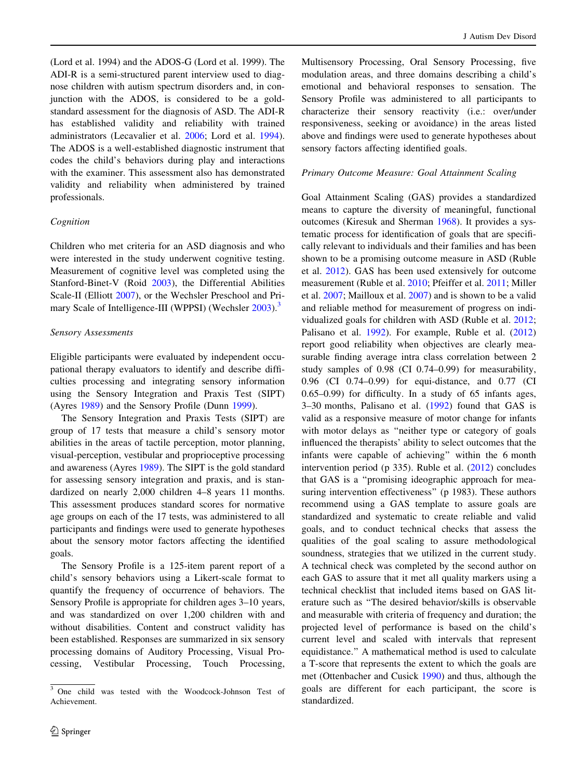(Lord et al. 1994) and the ADOS-G (Lord et al. 1999). The ADI-R is a semi-structured parent interview used to diagnose children with autism spectrum disorders and, in conjunction with the ADOS, is considered to be a goldstandard assessment for the diagnosis of ASD. The ADI-R has established validity and reliability with trained administrators (Lecavalier et al. [2006;](#page-12-0) Lord et al. [1994](#page-12-0)). The ADOS is a well-established diagnostic instrument that codes the child's behaviors during play and interactions with the examiner. This assessment also has demonstrated validity and reliability when administered by trained professionals.

### Cognition

Children who met criteria for an ASD diagnosis and who were interested in the study underwent cognitive testing. Measurement of cognitive level was completed using the Stanford-Binet-V (Roid [2003](#page-12-0)), the Differential Abilities Scale-II (Elliott [2007](#page-11-0)), or the Wechsler Preschool and Pri-mary Scale of Intelligence-III (WPPSI) (Wechsler [2003\)](#page-13-0).<sup>3</sup>

## Sensory Assessments

Eligible participants were evaluated by independent occupational therapy evaluators to identify and describe difficulties processing and integrating sensory information using the Sensory Integration and Praxis Test (SIPT) (Ayres [1989](#page-11-0)) and the Sensory Profile (Dunn [1999\)](#page-11-0).

The Sensory Integration and Praxis Tests (SIPT) are group of 17 tests that measure a child's sensory motor abilities in the areas of tactile perception, motor planning, visual-perception, vestibular and proprioceptive processing and awareness (Ayres [1989](#page-11-0)). The SIPT is the gold standard for assessing sensory integration and praxis, and is standardized on nearly 2,000 children 4–8 years 11 months. This assessment produces standard scores for normative age groups on each of the 17 tests, was administered to all participants and findings were used to generate hypotheses about the sensory motor factors affecting the identified goals.

The Sensory Profile is a 125-item parent report of a child's sensory behaviors using a Likert-scale format to quantify the frequency of occurrence of behaviors. The Sensory Profile is appropriate for children ages 3–10 years, and was standardized on over 1,200 children with and without disabilities. Content and construct validity has been established. Responses are summarized in six sensory processing domains of Auditory Processing, Visual Processing, Vestibular Processing, Touch Processing,

Multisensory Processing, Oral Sensory Processing, five modulation areas, and three domains describing a child's emotional and behavioral responses to sensation. The Sensory Profile was administered to all participants to characterize their sensory reactivity (i.e.: over/under responsiveness, seeking or avoidance) in the areas listed above and findings were used to generate hypotheses about sensory factors affecting identified goals.

#### Primary Outcome Measure: Goal Attainment Scaling

Goal Attainment Scaling (GAS) provides a standardized means to capture the diversity of meaningful, functional outcomes (Kiresuk and Sherman [1968](#page-12-0)). It provides a systematic process for identification of goals that are specifically relevant to individuals and their families and has been shown to be a promising outcome measure in ASD (Ruble et al. [2012\)](#page-12-0). GAS has been used extensively for outcome measurement (Ruble et al. [2010;](#page-12-0) Pfeiffer et al. [2011;](#page-12-0) Miller et al. [2007](#page-12-0); Mailloux et al. [2007\)](#page-12-0) and is shown to be a valid and reliable method for measurement of progress on individualized goals for children with ASD (Ruble et al. [2012](#page-12-0); Palisano et al. [1992\)](#page-12-0). For example, Ruble et al. ([2012\)](#page-12-0) report good reliability when objectives are clearly measurable finding average intra class correlation between 2 study samples of 0.98 (CI 0.74–0.99) for measurability, 0.96 (CI 0.74–0.99) for equi-distance, and 0.77 (CI 0.65–0.99) for difficulty. In a study of 65 infants ages, 3–30 months, Palisano et al. ([1992\)](#page-12-0) found that GAS is valid as a responsive measure of motor change for infants with motor delays as "neither type or category of goals influenced the therapists' ability to select outcomes that the infants were capable of achieving'' within the 6 month intervention period (p 335). Ruble et al. ([2012](#page-12-0)) concludes that GAS is a ''promising ideographic approach for measuring intervention effectiveness" (p 1983). These authors recommend using a GAS template to assure goals are standardized and systematic to create reliable and valid goals, and to conduct technical checks that assess the qualities of the goal scaling to assure methodological soundness, strategies that we utilized in the current study. A technical check was completed by the second author on each GAS to assure that it met all quality markers using a technical checklist that included items based on GAS literature such as ''The desired behavior/skills is observable and measurable with criteria of frequency and duration; the projected level of performance is based on the child's current level and scaled with intervals that represent equidistance.'' A mathematical method is used to calculate a T-score that represents the extent to which the goals are met (Ottenbacher and Cusick [1990\)](#page-12-0) and thus, although the goals are different for each participant, the score is standardized.

<sup>3</sup> One child was tested with the Woodcock-Johnson Test of Achievement.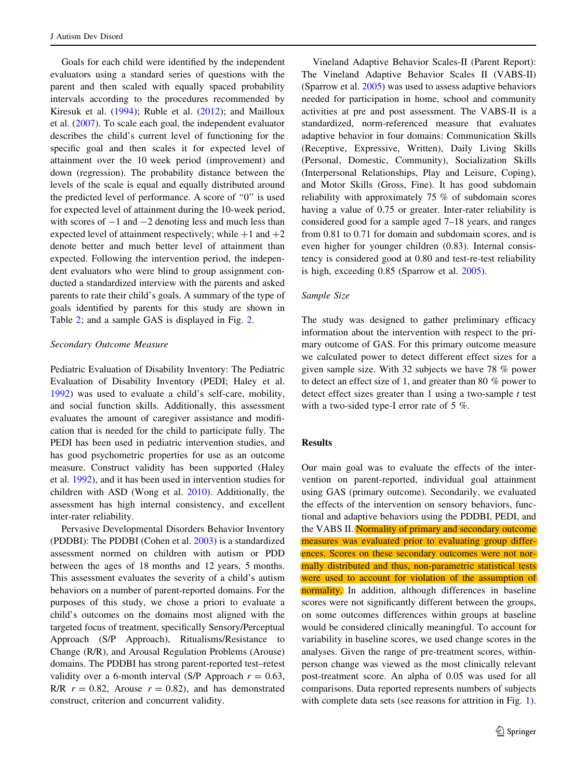Goals for each child were identified by the independent evaluators using a standard series of questions with the parent and then scaled with equally spaced probability intervals according to the procedures recommended by Kiresuk et al. ([1994\)](#page-12-0); Ruble et al. [\(2012](#page-12-0)); and Mailloux et al. ([2007\)](#page-12-0). To scale each goal, the independent evaluator describes the child's current level of functioning for the specific goal and then scales it for expected level of attainment over the 10 week period (improvement) and down (regression). The probability distance between the levels of the scale is equal and equally distributed around the predicted level of performance. A score of ''0'' is used for expected level of attainment during the 10-week period, with scores of  $-1$  and  $-2$  denoting less and much less than expected level of attainment respectively; while  $+1$  and  $+2$ denote better and much better level of attainment than expected. Following the intervention period, the independent evaluators who were blind to group assignment conducted a standardized interview with the parents and asked parents to rate their child's goals. A summary of the type of goals identified by parents for this study are shown in Table [2](#page-7-0); and a sample GAS is displayed in Fig. [2.](#page-7-0)

#### Secondary Outcome Measure

Pediatric Evaluation of Disability Inventory: The Pediatric Evaluation of Disability Inventory (PEDI; Haley et al. [1992\)](#page-12-0) was used to evaluate a child's self-care, mobility, and social function skills. Additionally, this assessment evaluates the amount of caregiver assistance and modification that is needed for the child to participate fully. The PEDI has been used in pediatric intervention studies, and has good psychometric properties for use as an outcome measure. Construct validity has been supported (Haley et al. [1992](#page-12-0)), and it has been used in intervention studies for children with ASD (Wong et al. [2010\)](#page-13-0). Additionally, the assessment has high internal consistency, and excellent inter-rater reliability.

Pervasive Developmental Disorders Behavior Inventory (PDDBI): The PDDBI (Cohen et al. [2003\)](#page-11-0) is a standardized assessment normed on children with autism or PDD between the ages of 18 months and 12 years, 5 months. This assessment evaluates the severity of a child's autism behaviors on a number of parent-reported domains. For the purposes of this study, we chose a priori to evaluate a child's outcomes on the domains most aligned with the targeted focus of treatment, specifically Sensory/Perceptual Approach (S/P Approach), Ritualisms/Resistance to Change (R/R), and Arousal Regulation Problems (Arouse) domains. The PDDBI has strong parent-reported test–retest validity over a 6-month interval (S/P Approach  $r = 0.63$ , R/R  $r = 0.82$ , Arouse  $r = 0.82$ ), and has demonstrated construct, criterion and concurrent validity.

Vineland Adaptive Behavior Scales-II (Parent Report): The Vineland Adaptive Behavior Scales II (VABS-II) (Sparrow et al. [2005\)](#page-13-0) was used to assess adaptive behaviors needed for participation in home, school and community activities at pre and post assessment. The VABS-II is a standardized, norm-referenced measure that evaluates adaptive behavior in four domains: Communication Skills (Receptive, Expressive, Written), Daily Living Skills (Personal, Domestic, Community), Socialization Skills (Interpersonal Relationships, Play and Leisure, Coping), and Motor Skills (Gross, Fine). It has good subdomain reliability with approximately 75 % of subdomain scores having a value of 0.75 or greater. Inter-rater reliability is considered good for a sample aged 7–18 years, and ranges from 0.81 to 0.71 for domain and subdomain scores, and is even higher for younger children (0.83). Internal consistency is considered good at 0.80 and test-re-test reliability is high, exceeding 0.85 (Sparrow et al. [2005\)](#page-13-0).

#### Sample Size

The study was designed to gather preliminary efficacy information about the intervention with respect to the primary outcome of GAS. For this primary outcome measure we calculated power to detect different effect sizes for a given sample size. With 32 subjects we have 78 % power to detect an effect size of 1, and greater than 80 % power to detect effect sizes greater than 1 using a two-sample  $t$  test with a two-sided type-I error rate of 5 %.

## Results

Our main goal was to evaluate the effects of the intervention on parent-reported, individual goal attainment using GAS (primary outcome). Secondarily, we evaluated the effects of the intervention on sensory behaviors, functional and adaptive behaviors using the PDDBI, PEDI, and the VABS II. Normality of primary and secondary outcome measures was evaluated prior to evaluating group differences. Scores on these secondary outcomes were not normally distributed and thus, non-parametric statistical tests were used to account for violation of the assumption of normality. In addition, although differences in baseline scores were not significantly different between the groups, on some outcomes differences within groups at baseline would be considered clinically meaningful. To account for variability in baseline scores, we used change scores in the analyses. Given the range of pre-treatment scores, withinperson change was viewed as the most clinically relevant post-treatment score. An alpha of 0.05 was used for all comparisons. Data reported represents numbers of subjects with complete data sets (see reasons for attrition in Fig. [1](#page-3-0)).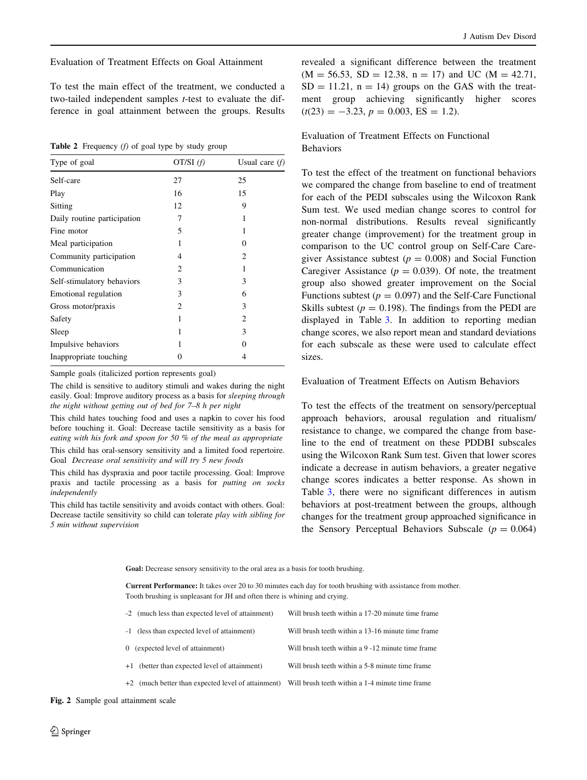<span id="page-7-0"></span>Evaluation of Treatment Effects on Goal Attainment

To test the main effect of the treatment, we conducted a two-tailed independent samples t-test to evaluate the difference in goal attainment between the groups. Results

**Table 2** Frequency  $(f)$  of goal type by study group

| Type of goal                | OT/SI $(f)$                 | Usual care $(f)$ |  |
|-----------------------------|-----------------------------|------------------|--|
| Self-care                   | 27                          | 25               |  |
| Play                        | 16                          | 15               |  |
| Sitting                     | 12                          | 9                |  |
| Daily routine participation | 7                           |                  |  |
| Fine motor                  | 5                           |                  |  |
| Meal participation          | 1                           | 0                |  |
| Community participation     | 4                           | 2                |  |
| Communication               | 2                           |                  |  |
| Self-stimulatory behaviors  | 3                           | 3                |  |
| Emotional regulation        | 3                           | 6                |  |
| Gross motor/praxis          | $\mathcal{D}_{\mathcal{L}}$ | 3                |  |
| Safety                      | 1                           | 2                |  |
| Sleep                       | 1                           | 3                |  |
| Impulsive behaviors         | 1                           | 0                |  |
| Inappropriate touching      |                             | 4                |  |

Sample goals (italicized portion represents goal)

The child is sensitive to auditory stimuli and wakes during the night easily. Goal: Improve auditory process as a basis for sleeping through the night without getting out of bed for 7–8 h per night

This child hates touching food and uses a napkin to cover his food before touching it. Goal: Decrease tactile sensitivity as a basis for eating with his fork and spoon for 50 % of the meal as appropriate

This child has oral-sensory sensitivity and a limited food repertoire. Goal Decrease oral sensitivity and will try 5 new foods

This child has dyspraxia and poor tactile processing. Goal: Improve praxis and tactile processing as a basis for putting on socks independently

This child has tactile sensitivity and avoids contact with others. Goal: Decrease tactile sensitivity so child can tolerate play with sibling for 5 min without supervision

revealed a significant difference between the treatment  $(M = 56.53, SD = 12.38, n = 17)$  and UC  $(M = 42.71,$  $SD = 11.21$ ,  $n = 14$ ) groups on the GAS with the treatment group achieving significantly higher scores  $(t(23) = -3.23, p = 0.003, ES = 1.2).$ 

Evaluation of Treatment Effects on Functional Behaviors

To test the effect of the treatment on functional behaviors we compared the change from baseline to end of treatment for each of the PEDI subscales using the Wilcoxon Rank Sum test. We used median change scores to control for non-normal distributions. Results reveal significantly greater change (improvement) for the treatment group in comparison to the UC control group on Self-Care Caregiver Assistance subtest ( $p = 0.008$ ) and Social Function Caregiver Assistance ( $p = 0.039$ ). Of note, the treatment group also showed greater improvement on the Social Functions subtest ( $p = 0.097$ ) and the Self-Care Functional Skills subtest ( $p = 0.198$ ). The findings from the PEDI are displayed in Table [3.](#page-8-0) In addition to reporting median change scores, we also report mean and standard deviations for each subscale as these were used to calculate effect sizes.

#### Evaluation of Treatment Effects on Autism Behaviors

To test the effects of the treatment on sensory/perceptual approach behaviors, arousal regulation and ritualism/ resistance to change, we compared the change from baseline to the end of treatment on these PDDBI subscales using the Wilcoxon Rank Sum test. Given that lower scores indicate a decrease in autism behaviors, a greater negative change scores indicates a better response. As shown in Table [3](#page-8-0), there were no significant differences in autism behaviors at post-treatment between the groups, although changes for the treatment group approached significance in the Sensory Perceptual Behaviors Subscale ( $p = 0.064$ )

Goal: Decrease sensory sensitivity to the oral area as a basis for tooth brushing.

**Current Performance:** It takes over 20 to 30 minutes each day for tooth brushing with assistance from mother. Tooth brushing is unpleasant for JH and often there is whining and crying.

| -2 (much less than expected level of attainment)   | Will brush teeth within a 17-20 minute time frame |
|----------------------------------------------------|---------------------------------------------------|
| -1 (less than expected level of attainment)        | Will brush teeth within a 13-16 minute time frame |
| 0 (expected level of attainment)                   | Will brush teeth within a 9 -12 minute time frame |
| +1 (better than expected level of attainment)      | Will brush teeth within a 5-8 minute time frame   |
| +2 (much better than expected level of attainment) | Will brush teeth within a 1-4 minute time frame   |

Fig. 2 Sample goal attainment scale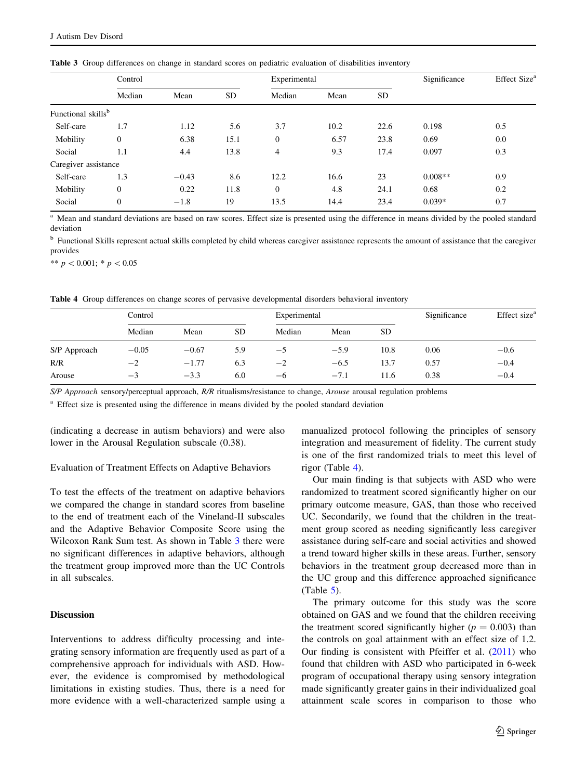|                                | Control          |         |           |                | Experimental |           |           | Effect Size <sup>a</sup> |
|--------------------------------|------------------|---------|-----------|----------------|--------------|-----------|-----------|--------------------------|
|                                | Median           | Mean    | <b>SD</b> | Median         | Mean         | <b>SD</b> |           |                          |
| Functional skills <sup>b</sup> |                  |         |           |                |              |           |           |                          |
| Self-care                      | 1.7              | 1.12    | 5.6       | 3.7            | 10.2         | 22.6      | 0.198     | 0.5                      |
| Mobility                       | $\boldsymbol{0}$ | 6.38    | 15.1      | $\overline{0}$ | 6.57         | 23.8      | 0.69      | 0.0                      |
| Social                         | 1.1              | 4.4     | 13.8      | $\overline{4}$ | 9.3          | 17.4      | 0.097     | 0.3                      |
| Caregiver assistance           |                  |         |           |                |              |           |           |                          |
| Self-care                      | 1.3              | $-0.43$ | 8.6       | 12.2           | 16.6         | 23        | $0.008**$ | 0.9                      |
| Mobility                       | $\boldsymbol{0}$ | 0.22    | 11.8      | $\overline{0}$ | 4.8          | 24.1      | 0.68      | 0.2                      |
| Social                         | $\mathbf{0}$     | $-1.8$  | 19        | 13.5           | 14.4         | 23.4      | $0.039*$  | 0.7                      |

<span id="page-8-0"></span>Table 3 Group differences on change in standard scores on pediatric evaluation of disabilities inventory

<sup>a</sup> Mean and standard deviations are based on raw scores. Effect size is presented using the difference in means divided by the pooled standard deviation

<sup>b</sup> Functional Skills represent actual skills completed by child whereas caregiver assistance represents the amount of assistance that the caregiver provides

\*\*  $p < 0.001$ ; \*  $p < 0.05$ 

Table 4 Group differences on change scores of pervasive developmental disorders behavioral inventory

|              | Control |         |     | Experimental |        |           | Significance | Effect size <sup>a</sup> |
|--------------|---------|---------|-----|--------------|--------|-----------|--------------|--------------------------|
|              | Median  | Mean    | SD  | Median       | Mean   | <b>SD</b> |              |                          |
| S/P Approach | $-0.05$ | $-0.67$ | 5.9 | —5           | $-5.9$ | 10.8      | 0.06         | $-0.6$                   |
| R/R          | $-2$    | $-1.77$ | 6.3 | $^{-2}$      | $-6.5$ | 13.7      | 0.57         | $-0.4$                   |
| Arouse       | $-1$    | $-3.3$  | 6.0 | $-6$         | $-7.1$ | 11.6      | 0.38         | $-0.4$                   |

S/P Approach sensory/perceptual approach, R/R ritualisms/resistance to change, Arouse arousal regulation problems

<sup>a</sup> Effect size is presented using the difference in means divided by the pooled standard deviation

(indicating a decrease in autism behaviors) and were also lower in the Arousal Regulation subscale (0.38).

#### Evaluation of Treatment Effects on Adaptive Behaviors

To test the effects of the treatment on adaptive behaviors we compared the change in standard scores from baseline to the end of treatment each of the Vineland-II subscales and the Adaptive Behavior Composite Score using the Wilcoxon Rank Sum test. As shown in Table 3 there were no significant differences in adaptive behaviors, although the treatment group improved more than the UC Controls in all subscales.

## Discussion

Interventions to address difficulty processing and integrating sensory information are frequently used as part of a comprehensive approach for individuals with ASD. However, the evidence is compromised by methodological limitations in existing studies. Thus, there is a need for more evidence with a well-characterized sample using a manualized protocol following the principles of sensory integration and measurement of fidelity. The current study is one of the first randomized trials to meet this level of rigor (Table 4).

Our main finding is that subjects with ASD who were randomized to treatment scored significantly higher on our primary outcome measure, GAS, than those who received UC. Secondarily, we found that the children in the treatment group scored as needing significantly less caregiver assistance during self-care and social activities and showed a trend toward higher skills in these areas. Further, sensory behaviors in the treatment group decreased more than in the UC group and this difference approached significance (Table [5\)](#page-9-0).

The primary outcome for this study was the score obtained on GAS and we found that the children receiving the treatment scored significantly higher ( $p = 0.003$ ) than the controls on goal attainment with an effect size of 1.2. Our finding is consistent with Pfeiffer et al. ([2011](#page-12-0)) who found that children with ASD who participated in 6-week program of occupational therapy using sensory integration made significantly greater gains in their individualized goal attainment scale scores in comparison to those who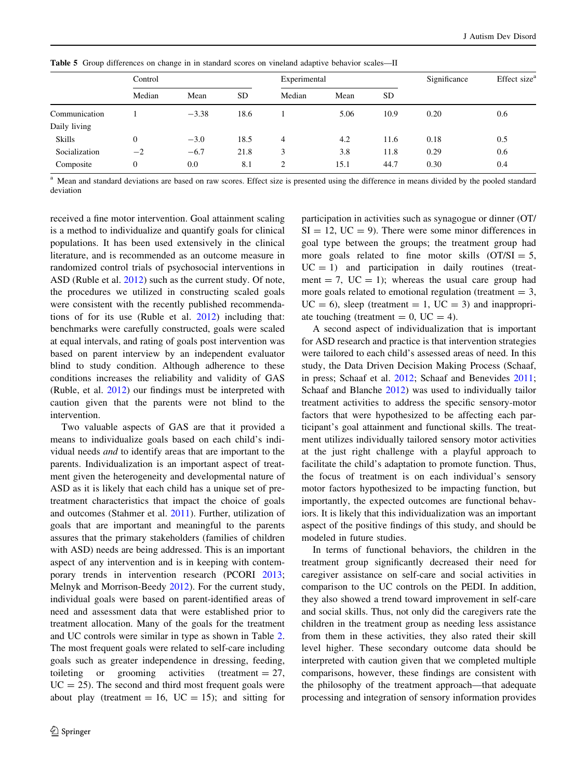|               | Control |         |           | Experimental |      |           | Significance | Effect size <sup>a</sup> |
|---------------|---------|---------|-----------|--------------|------|-----------|--------------|--------------------------|
|               | Median  | Mean    | <b>SD</b> | Median       | Mean | <b>SD</b> |              |                          |
| Communication |         | $-3.38$ | 18.6      |              | 5.06 | 10.9      | 0.20         | 0.6                      |
| Daily living  |         |         |           |              |      |           |              |                          |
| <b>Skills</b> | 0       | $-3.0$  | 18.5      | 4            | 4.2  | 11.6      | 0.18         | 0.5                      |
| Socialization | $-2$    | $-6.7$  | 21.8      | 3            | 3.8  | 11.8      | 0.29         | 0.6                      |
| Composite     | 0       | 0.0     | 8.1       |              | 15.1 | 44.7      | 0.30         | 0.4                      |

<span id="page-9-0"></span>Table 5 Group differences on change in in standard scores on vineland adaptive behavior scales—II

<sup>a</sup> Mean and standard deviations are based on raw scores. Effect size is presented using the difference in means divided by the pooled standard deviation

received a fine motor intervention. Goal attainment scaling is a method to individualize and quantify goals for clinical populations. It has been used extensively in the clinical literature, and is recommended as an outcome measure in randomized control trials of psychosocial interventions in ASD (Ruble et al. [2012\)](#page-12-0) such as the current study. Of note, the procedures we utilized in constructing scaled goals were consistent with the recently published recommendations of for its use (Ruble et al. [2012\)](#page-12-0) including that: benchmarks were carefully constructed, goals were scaled at equal intervals, and rating of goals post intervention was based on parent interview by an independent evaluator blind to study condition. Although adherence to these conditions increases the reliability and validity of GAS (Ruble, et al. [2012\)](#page-12-0) our findings must be interpreted with caution given that the parents were not blind to the intervention.

Two valuable aspects of GAS are that it provided a means to individualize goals based on each child's individual needs and to identify areas that are important to the parents. Individualization is an important aspect of treatment given the heterogeneity and developmental nature of ASD as it is likely that each child has a unique set of pretreatment characteristics that impact the choice of goals and outcomes (Stahmer et al. [2011](#page-13-0)). Further, utilization of goals that are important and meaningful to the parents assures that the primary stakeholders (families of children with ASD) needs are being addressed. This is an important aspect of any intervention and is in keeping with contemporary trends in intervention research (PCORI [2013](#page-12-0); Melnyk and Morrison-Beedy [2012](#page-12-0)). For the current study, individual goals were based on parent-identified areas of need and assessment data that were established prior to treatment allocation. Many of the goals for the treatment and UC controls were similar in type as shown in Table [2.](#page-7-0) The most frequent goals were related to self-care including goals such as greater independence in dressing, feeding, toileting or grooming activities (treatment  $= 27$ ,  $UC = 25$ ). The second and third most frequent goals were about play (treatment = 16,  $UC = 15$ ); and sitting for participation in activities such as synagogue or dinner (OT/  $SI = 12$ ,  $UC = 9$ ). There were some minor differences in goal type between the groups; the treatment group had more goals related to fine motor skills  $(OT/SI = 5,$  $UC = 1$ ) and participation in daily routines (treatment = 7,  $UC = 1$ ); whereas the usual care group had more goals related to emotional regulation (treatment  $= 3$ ,  $UC = 6$ ), sleep (treatment = 1,  $UC = 3$ ) and inappropriate touching (treatment  $= 0$ , UC  $= 4$ ).

A second aspect of individualization that is important for ASD research and practice is that intervention strategies were tailored to each child's assessed areas of need. In this study, the Data Driven Decision Making Process (Schaaf, in press; Schaaf et al. [2012](#page-13-0); Schaaf and Benevides [2011](#page-12-0); Schaaf and Blanche [2012\)](#page-13-0) was used to individually tailor treatment activities to address the specific sensory-motor factors that were hypothesized to be affecting each participant's goal attainment and functional skills. The treatment utilizes individually tailored sensory motor activities at the just right challenge with a playful approach to facilitate the child's adaptation to promote function. Thus, the focus of treatment is on each individual's sensory motor factors hypothesized to be impacting function, but importantly, the expected outcomes are functional behaviors. It is likely that this individualization was an important aspect of the positive findings of this study, and should be modeled in future studies.

In terms of functional behaviors, the children in the treatment group significantly decreased their need for caregiver assistance on self-care and social activities in comparison to the UC controls on the PEDI. In addition, they also showed a trend toward improvement in self-care and social skills. Thus, not only did the caregivers rate the children in the treatment group as needing less assistance from them in these activities, they also rated their skill level higher. These secondary outcome data should be interpreted with caution given that we completed multiple comparisons, however, these findings are consistent with the philosophy of the treatment approach—that adequate processing and integration of sensory information provides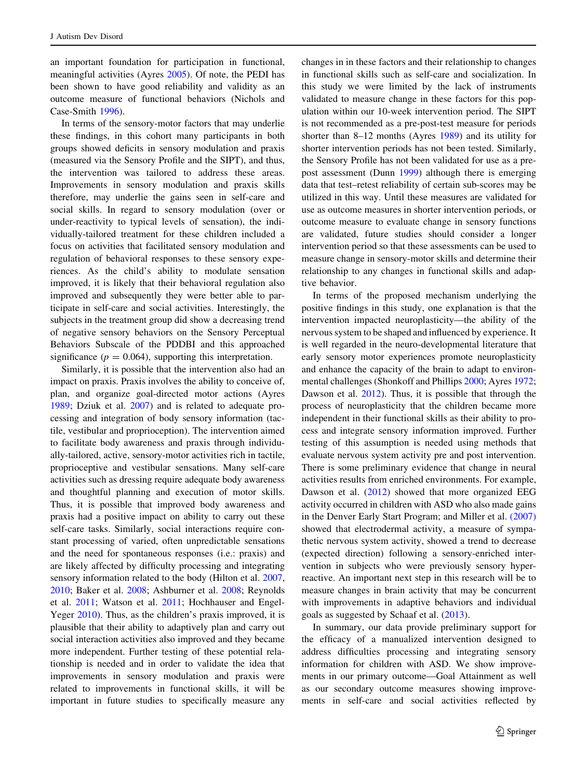an important foundation for participation in functional, meaningful activities (Ayres [2005\)](#page-11-0). Of note, the PEDI has been shown to have good reliability and validity as an outcome measure of functional behaviors (Nichols and Case-Smith [1996\)](#page-12-0).

In terms of the sensory-motor factors that may underlie these findings, in this cohort many participants in both groups showed deficits in sensory modulation and praxis (measured via the Sensory Profile and the SIPT), and thus, the intervention was tailored to address these areas. Improvements in sensory modulation and praxis skills therefore, may underlie the gains seen in self-care and social skills. In regard to sensory modulation (over or under-reactivity to typical levels of sensation), the individually-tailored treatment for these children included a focus on activities that facilitated sensory modulation and regulation of behavioral responses to these sensory experiences. As the child's ability to modulate sensation improved, it is likely that their behavioral regulation also improved and subsequently they were better able to participate in self-care and social activities. Interestingly, the subjects in the treatment group did show a decreasing trend of negative sensory behaviors on the Sensory Perceptual Behaviors Subscale of the PDDBI and this approached significance ( $p = 0.064$ ), supporting this interpretation.

Similarly, it is possible that the intervention also had an impact on praxis. Praxis involves the ability to conceive of, plan, and organize goal-directed motor actions (Ayres [1989;](#page-11-0) Dziuk et al. [2007](#page-11-0)) and is related to adequate processing and integration of body sensory information (tactile, vestibular and proprioception). The intervention aimed to facilitate body awareness and praxis through individually-tailored, active, sensory-motor activities rich in tactile, proprioceptive and vestibular sensations. Many self-care activities such as dressing require adequate body awareness and thoughtful planning and execution of motor skills. Thus, it is possible that improved body awareness and praxis had a positive impact on ability to carry out these self-care tasks. Similarly, social interactions require constant processing of varied, often unpredictable sensations and the need for spontaneous responses (i.e.: praxis) and are likely affected by difficulty processing and integrating sensory information related to the body (Hilton et al. [2007,](#page-12-0) [2010;](#page-12-0) Baker et al. [2008;](#page-11-0) Ashburner et al. [2008](#page-11-0); Reynolds et al. [2011;](#page-12-0) Watson et al. [2011](#page-13-0); Hochhauser and Engel-Yeger [2010](#page-12-0)). Thus, as the children's praxis improved, it is plausible that their ability to adaptively plan and carry out social interaction activities also improved and they became more independent. Further testing of these potential relationship is needed and in order to validate the idea that improvements in sensory modulation and praxis were related to improvements in functional skills, it will be important in future studies to specifically measure any changes in in these factors and their relationship to changes in functional skills such as self-care and socialization. In this study we were limited by the lack of instruments validated to measure change in these factors for this population within our 10-week intervention period. The SIPT is not recommended as a pre-post-test measure for periods shorter than 8–12 months (Ayres [1989](#page-11-0)) and its utility for shorter intervention periods has not been tested. Similarly, the Sensory Profile has not been validated for use as a prepost assessment (Dunn [1999\)](#page-11-0) although there is emerging data that test–retest reliability of certain sub-scores may be utilized in this way. Until these measures are validated for use as outcome measures in shorter intervention periods, or outcome measure to evaluate change in sensory functions are validated, future studies should consider a longer intervention period so that these assessments can be used to measure change in sensory-motor skills and determine their relationship to any changes in functional skills and adaptive behavior.

In terms of the proposed mechanism underlying the positive findings in this study, one explanation is that the intervention impacted neuroplasticity—the ability of the nervous system to be shaped and influenced by experience. It is well regarded in the neuro-developmental literature that early sensory motor experiences promote neuroplasticity and enhance the capacity of the brain to adapt to environmental challenges (Shonkoff and Phillips [2000;](#page-13-0) Ayres [1972](#page-11-0); Dawson et al. [2012\)](#page-11-0). Thus, it is possible that through the process of neuroplasticity that the children became more independent in their functional skills as their ability to process and integrate sensory information improved. Further testing of this assumption is needed using methods that evaluate nervous system activity pre and post intervention. There is some preliminary evidence that change in neural activities results from enriched environments. For example, Dawson et al. ([2012\)](#page-11-0) showed that more organized EEG activity occurred in children with ASD who also made gains in the Denver Early Start Program; and Miller et al. [\(2007\)](#page-12-0) showed that electrodermal activity, a measure of sympathetic nervous system activity, showed a trend to decrease (expected direction) following a sensory-enriched intervention in subjects who were previously sensory hyperreactive. An important next step in this research will be to measure changes in brain activity that may be concurrent with improvements in adaptive behaviors and individual goals as suggested by Schaaf et al. [\(2013](#page-13-0)).

In summary, our data provide preliminary support for the efficacy of a manualized intervention designed to address difficulties processing and integrating sensory information for children with ASD. We show improvements in our primary outcome—Goal Attainment as well as our secondary outcome measures showing improvements in self-care and social activities reflected by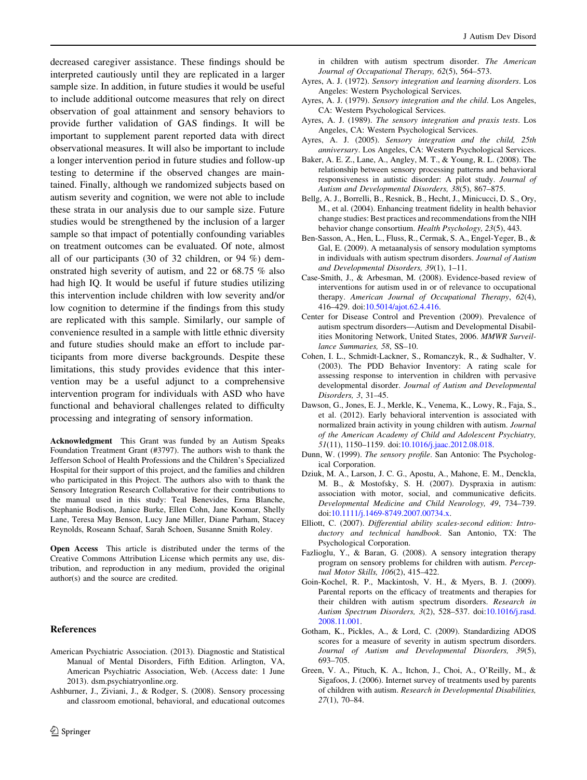<span id="page-11-0"></span>decreased caregiver assistance. These findings should be interpreted cautiously until they are replicated in a larger sample size. In addition, in future studies it would be useful to include additional outcome measures that rely on direct observation of goal attainment and sensory behaviors to provide further validation of GAS findings. It will be important to supplement parent reported data with direct observational measures. It will also be important to include a longer intervention period in future studies and follow-up testing to determine if the observed changes are maintained. Finally, although we randomized subjects based on autism severity and cognition, we were not able to include these strata in our analysis due to our sample size. Future studies would be strengthened by the inclusion of a larger sample so that impact of potentially confounding variables on treatment outcomes can be evaluated. Of note, almost all of our participants (30 of 32 children, or 94 %) demonstrated high severity of autism, and 22 or 68.75 % also had high IQ. It would be useful if future studies utilizing this intervention include children with low severity and/or low cognition to determine if the findings from this study are replicated with this sample. Similarly, our sample of convenience resulted in a sample with little ethnic diversity and future studies should make an effort to include participants from more diverse backgrounds. Despite these limitations, this study provides evidence that this intervention may be a useful adjunct to a comprehensive intervention program for individuals with ASD who have functional and behavioral challenges related to difficulty processing and integrating of sensory information.

Acknowledgment This Grant was funded by an Autism Speaks Foundation Treatment Grant (#3797). The authors wish to thank the Jefferson School of Health Professions and the Children's Specialized Hospital for their support of this project, and the families and children who participated in this Project. The authors also with to thank the Sensory Integration Research Collaborative for their contributions to the manual used in this study: Teal Benevides, Erna Blanche, Stephanie Bodison, Janice Burke, Ellen Cohn, Jane Koomar, Shelly Lane, Teresa May Benson, Lucy Jane Miller, Diane Parham, Stacey Reynolds, Roseann Schaaf, Sarah Schoen, Susanne Smith Roley.

Open Access This article is distributed under the terms of the Creative Commons Attribution License which permits any use, distribution, and reproduction in any medium, provided the original author(s) and the source are credited.

#### References

- American Psychiatric Association. (2013). Diagnostic and Statistical Manual of Mental Disorders, Fifth Edition. Arlington, VA, American Psychiatric Association, Web. (Access date: 1 June 2013). dsm.psychiatryonline.org.
- Ashburner, J., Ziviani, J., & Rodger, S. (2008). Sensory processing and classroom emotional, behavioral, and educational outcomes

in children with autism spectrum disorder. The American Journal of Occupational Therapy, 62(5), 564–573.

- Ayres, A. J. (1972). Sensory integration and learning disorders. Los Angeles: Western Psychological Services.
- Ayres, A. J. (1979). Sensory integration and the child. Los Angeles, CA: Western Psychological Services.
- Ayres, A. J. (1989). The sensory integration and praxis tests. Los Angeles, CA: Western Psychological Services.
- Ayres, A. J. (2005). Sensory integration and the child, 25th anniversary. Los Angeles, CA: Western Psychological Services.
- Baker, A. E. Z., Lane, A., Angley, M. T., & Young, R. L. (2008). The relationship between sensory processing patterns and behavioral responsiveness in autistic disorder: A pilot study. Journal of Autism and Developmental Disorders, 38(5), 867–875.
- Bellg, A. J., Borrelli, B., Resnick, B., Hecht, J., Minicucci, D. S., Ory, M., et al. (2004). Enhancing treatment fidelity in health behavior change studies: Best practices and recommendations from the NIH behavior change consortium. Health Psychology, 23(5), 443.
- Ben-Sasson, A., Hen, L., Fluss, R., Cermak, S. A., Engel-Yeger, B., & Gal, E. (2009). A metaanalysis of sensory modulation symptoms in individuals with autism spectrum disorders. Journal of Autism and Developmental Disorders, 39(1), 1–11.
- Case-Smith, J., & Arbesman, M. (2008). Evidence-based review of interventions for autism used in or of relevance to occupational therapy. American Journal of Occupational Therapy, 62(4), 416–429. doi:[10.5014/ajot.62.4.416](http://dx.doi.org/10.5014/ajot.62.4.416).
- Center for Disease Control and Prevention (2009). Prevalence of autism spectrum disorders—Autism and Developmental Disabilities Monitoring Network, United States, 2006. MMWR Surveillance Summaries, 58, SS–10.
- Cohen, I. L., Schmidt-Lackner, S., Romanczyk, R., & Sudhalter, V. (2003). The PDD Behavior Inventory: A rating scale for assessing response to intervention in children with pervasive developmental disorder. Journal of Autism and Developmental Disorders, 3, 31–45.
- Dawson, G., Jones, E. J., Merkle, K., Venema, K., Lowy, R., Faja, S., et al. (2012). Early behavioral intervention is associated with normalized brain activity in young children with autism. Journal of the American Academy of Child and Adolescent Psychiatry, 51(11), 1150–1159. doi:[10.1016/j.jaac.2012.08.018.](http://dx.doi.org/10.1016/j.jaac.2012.08.018)
- Dunn, W. (1999). The sensory profile. San Antonio: The Psychological Corporation.
- Dziuk, M. A., Larson, J. C. G., Apostu, A., Mahone, E. M., Denckla, M. B., & Mostofsky, S. H. (2007). Dyspraxia in autism: association with motor, social, and communicative deficits. Developmental Medicine and Child Neurology, 49, 734–739. doi[:10.1111/j.1469-8749.2007.00734.x](http://dx.doi.org/10.1111/j.1469-8749.2007.00734.x).
- Elliott, C. (2007). Differential ability scales-second edition: Introductory and technical handbook. San Antonio, TX: The Psychological Corporation.
- Fazlioglu, Y., & Baran, G. (2008). A sensory integration therapy program on sensory problems for children with autism. Perceptual Motor Skills, 106(2), 415–422.
- Goin-Kochel, R. P., Mackintosh, V. H., & Myers, B. J. (2009). Parental reports on the efficacy of treatments and therapies for their children with autism spectrum disorders. Research in Autism Spectrum Disorders, 3(2), 528–537. doi:[10.1016/j.rasd.](http://dx.doi.org/10.1016/j.rasd.2008.11.001) [2008.11.001](http://dx.doi.org/10.1016/j.rasd.2008.11.001).
- Gotham, K., Pickles, A., & Lord, C. (2009). Standardizing ADOS scores for a measure of severity in autism spectrum disorders. Journal of Autism and Developmental Disorders, 39(5), 693–705.
- Green, V. A., Pituch, K. A., Itchon, J., Choi, A., O'Reilly, M., & Sigafoos, J. (2006). Internet survey of treatments used by parents of children with autism. Research in Developmental Disabilities, 27(1), 70–84.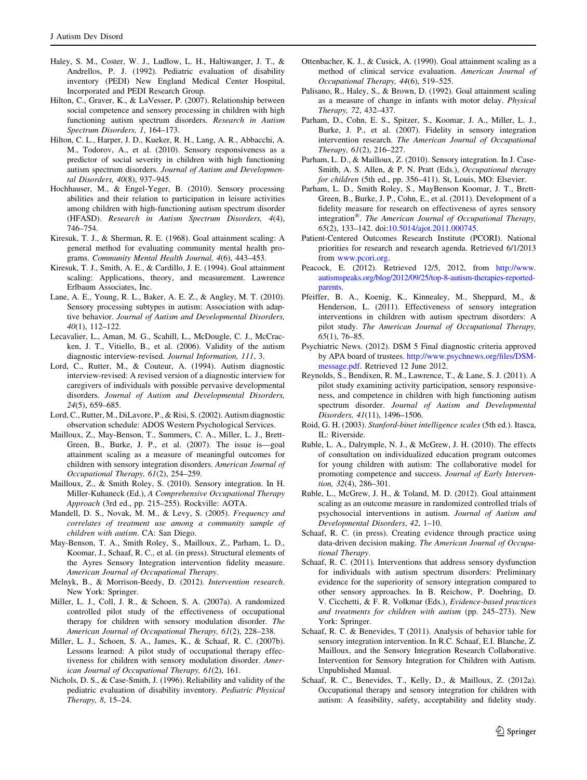- <span id="page-12-0"></span>Haley, S. M., Coster, W. J., Ludlow, L. H., Haltiwanger, J. T., & Andrellos, P. J. (1992). Pediatric evaluation of disability inventory (PEDI) New England Medical Center Hospital, Incorporated and PEDI Research Group.
- Hilton, C., Graver, K., & LaVesser, P. (2007). Relationship between social competence and sensory processing in children with high functioning autism spectrum disorders. Research in Autism Spectrum Disorders, 1, 164–173.
- Hilton, C. L., Harper, J. D., Kueker, R. H., Lang, A. R., Abbacchi, A. M., Todorov, A., et al. (2010). Sensory responsiveness as a predictor of social severity in children with high functioning autism spectrum disorders. Journal of Autism and Developmental Disorders, 40(8), 937–945.
- Hochhauser, M., & Engel-Yeger, B. (2010). Sensory processing abilities and their relation to participation in leisure activities among children with high-functioning autism spectrum disorder (HFASD). Research in Autism Spectrum Disorders, 4(4), 746–754.
- Kiresuk, T. J., & Sherman, R. E. (1968). Goal attainment scaling: A general method for evaluating community mental health programs. Community Mental Health Journal, 4(6), 443–453.
- Kiresuk, T. J., Smith, A. E., & Cardillo, J. E. (1994). Goal attainment scaling: Applications, theory, and measurement. Lawrence Erlbaum Associates, Inc.
- Lane, A. E., Young, R. L., Baker, A. E. Z., & Angley, M. T. (2010). Sensory processing subtypes in autism: Association with adaptive behavior. Journal of Autism and Developmental Disorders, 40(1), 112–122.
- Lecavalier, L., Aman, M. G., Scahill, L., McDougle, C. J., McCracken, J. T., Vitiello, B., et al. (2006). Validity of the autism diagnostic interview-revised. Journal Information, 111, 3.
- Lord, C., Rutter, M., & Couteur, A. (1994). Autism diagnostic interview-revised: A revised version of a diagnostic interview for caregivers of individuals with possible pervasive developmental disorders. Journal of Autism and Developmental Disorders, 24(5), 659–685.
- Lord, C., Rutter, M., DiLavore, P., & Risi, S. (2002). Autism diagnostic observation schedule: ADOS Western Psychological Services.
- Mailloux, Z., May-Benson, T., Summers, C. A., Miller, L. J., Brett-Green, B., Burke, J. P., et al. (2007). The issue is—goal attainment scaling as a measure of meaningful outcomes for children with sensory integration disorders. American Journal of Occupational Therapy, 61(2), 254–259.
- Mailloux, Z., & Smith Roley, S. (2010). Sensory integration. In H. Miller-Kuhaneck (Ed.), A Comprehensive Occupational Therapy Approach (3rd ed., pp. 215–255). Rockville: AOTA.
- Mandell, D. S., Novak, M. M., & Levy, S. (2005). Frequency and correlates of treatment use among a community sample of children with autism. CA: San Diego.
- May-Benson, T. A., Smith Roley, S., Mailloux, Z., Parham, L. D., Koomar, J., Schaaf, R. C., et al. (in press). Structural elements of the Ayres Sensory Integration intervention fidelity measure. American Journal of Occupational Therapy.
- Melnyk, B., & Morrison-Beedy, D. (2012). Intervention research. New York: Springer.
- Miller, L. J., Coll, J. R., & Schoen, S. A. (2007a). A randomized controlled pilot study of the effectiveness of occupational therapy for children with sensory modulation disorder. The American Journal of Occupational Therapy, 61(2), 228–238.
- Miller, L. J., Schoen, S. A., James, K., & Schaaf, R. C. (2007b). Lessons learned: A pilot study of occupational therapy effectiveness for children with sensory modulation disorder. American Journal of Occupational Therapy, 61(2), 161.
- Nichols, D. S., & Case-Smith, J. (1996). Reliability and validity of the pediatric evaluation of disability inventory. Pediatric Physical Therapy, 8, 15–24.
- Ottenbacher, K. J., & Cusick, A. (1990). Goal attainment scaling as a method of clinical service evaluation. American Journal of Occupational Therapy, 44(6), 519–525.
- Palisano, R., Haley, S., & Brown, D. (1992). Goal attainment scaling as a measure of change in infants with motor delay. Physical Therapy, 72, 432–437.
- Parham, D., Cohn, E. S., Spitzer, S., Koomar, J. A., Miller, L. J., Burke, J. P., et al. (2007). Fidelity in sensory integration intervention research. The American Journal of Occupational Therapy, 61(2), 216–227.
- Parham, L. D., & Mailloux, Z. (2010). Sensory integration. In J. Case-Smith, A. S. Allen, & P. N. Pratt (Eds.), Occupational therapy for children (5th ed., pp. 356–411). St, Louis, MO: Elsevier.
- Parham, L. D., Smith Roley, S., MayBenson Koomar, J. T., Brett-Green, B., Burke, J. P., Cohn, E., et al. (2011). Development of a fidelity measure for research on effectiveness of ayres sensory integration<sup>®</sup>. The American Journal of Occupational Therapy, 65(2), 133–142. doi[:10.5014/ajot.2011.000745.](http://dx.doi.org/10.5014/ajot.2011.000745)
- Patient-Centered Outcomes Research Institute (PCORI). National priorities for research and research agenda. Retrieved 6/1/2013 from [www.pcori.org.](http://www.pcori.org)
- Peacock, E. (2012). Retrieved 12/5, 2012, from [http://www.](http://www.autismspeaks.org/blog/2012/09/25/top-8-autism-therapies-reported-parents) [autismspeaks.org/blog/2012/09/25/top-8-autism-therapies-reported](http://www.autismspeaks.org/blog/2012/09/25/top-8-autism-therapies-reported-parents)[parents.](http://www.autismspeaks.org/blog/2012/09/25/top-8-autism-therapies-reported-parents)
- Pfeiffer, B. A., Koenig, K., Kinnealey, M., Sheppard, M., & Henderson, L. (2011). Effectiveness of sensory integration interventions in children with autism spectrum disorders: A pilot study. The American Journal of Occupational Therapy, 65(1), 76–85.
- Psychiatric News. (2012). DSM 5 Final diagnostic criteria approved by APA board of trustees. [http://www.psychnews.org/files/DSM](http://www.psychnews.org/files/DSM-message.pdf)[message.pdf](http://www.psychnews.org/files/DSM-message.pdf). Retrieved 12 June 2012.
- Reynolds, S., Bendixen, R. M., Lawrence, T., & Lane, S. J. (2011). A pilot study examining activity participation, sensory responsiveness, and competence in children with high functioning autism spectrum disorder. Journal of Autism and Developmental Disorders, 41(11), 1496–1506.
- Roid, G. H. (2003). Stanford-binet intelligence scales (5th ed.). Itasca, IL: Riverside.
- Ruble, L. A., Dalrymple, N. J., & McGrew, J. H. (2010). The effects of consultation on individualized education program outcomes for young children with autism: The collaborative model for promoting competence and success. Journal of Early Intervention, 32(4), 286–301.
- Ruble, L., McGrew, J. H., & Toland, M. D. (2012). Goal attainment scaling as an outcome measure in randomized controlled trials of psychosocial interventions in autism. Journal of Autism and Developmental Disorders, 42, 1–10.
- Schaaf, R. C. (in press). Creating evidence through practice using data-driven decision making. The American Journal of Occupational Therapy.
- Schaaf, R. C. (2011). Interventions that address sensory dysfunction for individuals with autism spectrum disorders: Preliminary evidence for the superiority of sensory integration compared to other sensory approaches. In B. Reichow, P. Doehring, D. V. Cicchetti, & F. R. Volkmar (Eds.), Evidence-based practices and treatments for children with autism (pp. 245–273). New York: Springer.
- Schaaf, R. C. & Benevides, T (2011). Analysis of behavior table for sensory integration intervention. In R.C. Schaaf, E.I. Blanche, Z. Mailloux, and the Sensory Integration Research Collaborative. Intervention for Sensory Integration for Children with Autism. Unpublished Manual.
- Schaaf, R. C., Benevides, T., Kelly, D., & Mailloux, Z. (2012a). Occupational therapy and sensory integration for children with autism: A feasibility, safety, acceptability and fidelity study.